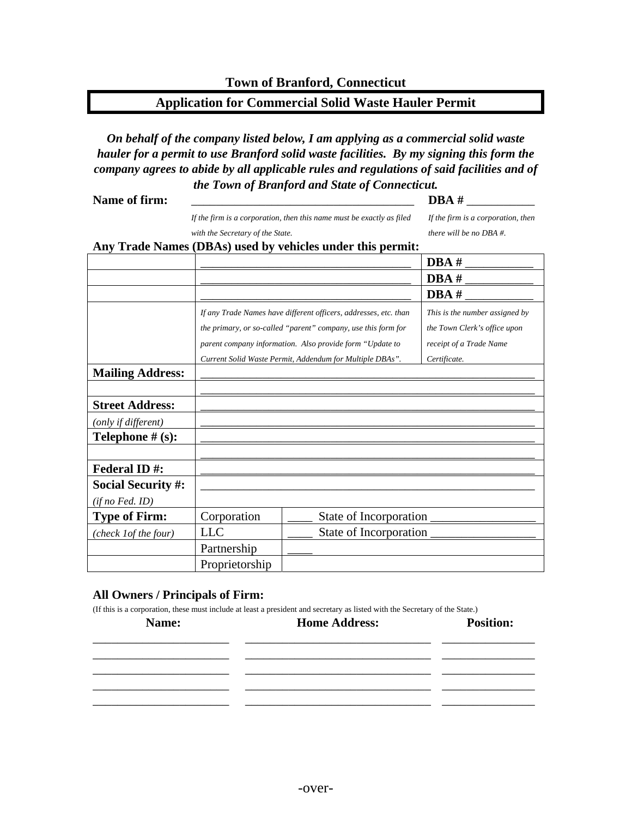## **Application for Commercial Solid Waste Hauler Permit**

*On behalf of the company listed below, I am applying as a commercial solid waste hauler for a permit to use Branford solid waste facilities. By my signing this form the company agrees to abide by all applicable rules and regulations of said facilities and of the Town of Branford and State of Connecticut.*

**Name of firm:** \_\_\_\_\_\_\_\_\_\_\_\_\_\_\_\_\_\_\_\_\_\_\_\_\_\_\_\_\_\_\_\_\_\_\_\_ **DBA #** \_\_\_\_\_\_\_\_\_\_\_

*If the firm is a corporation, then this name must be exactly as filed with the Secretary of the State.*

*If the firm is a corporation, then there will be no DBA #.* 

## **Any Trade Names (DBAs) used by vehicles under this permit:**

| $\cdots$                  |                                                                                     |                        | $DBA \#$                       |
|---------------------------|-------------------------------------------------------------------------------------|------------------------|--------------------------------|
|                           |                                                                                     |                        | $DBA \#$                       |
|                           |                                                                                     |                        | DBA#                           |
|                           | If any Trade Names have different officers, addresses, etc. than                    |                        | This is the number assigned by |
|                           | the primary, or so-called "parent" company, use this form for                       |                        | the Town Clerk's office upon   |
|                           | parent company information. Also provide form "Update to<br>receipt of a Trade Name |                        |                                |
|                           | Current Solid Waste Permit, Addendum for Multiple DBAs".<br>Certificate.            |                        |                                |
| <b>Mailing Address:</b>   |                                                                                     |                        |                                |
|                           |                                                                                     |                        |                                |
| <b>Street Address:</b>    |                                                                                     |                        |                                |
| (only if different)       |                                                                                     |                        |                                |
| Telephone $# (s)$ :       |                                                                                     |                        |                                |
|                           |                                                                                     |                        |                                |
| <b>Federal ID#:</b>       |                                                                                     |                        |                                |
| <b>Social Security #:</b> |                                                                                     |                        |                                |
| $(ifno$ Fed. $ID)$        |                                                                                     |                        |                                |
| <b>Type of Firm:</b>      | Corporation                                                                         | State of Incorporation |                                |
| (check lof the four)      | <b>LLC</b>                                                                          |                        |                                |
|                           | Partnership                                                                         |                        |                                |
|                           | Proprietorship                                                                      |                        |                                |

## **All Owners / Principals of Firm:**

(If this is a corporation, these must include at least a president and secretary as listed with the Secretary of the State.)

| Name: | <b>Home Address:</b> | <b>Position:</b> |
|-------|----------------------|------------------|
|       |                      |                  |
|       |                      |                  |
|       |                      |                  |
|       |                      |                  |